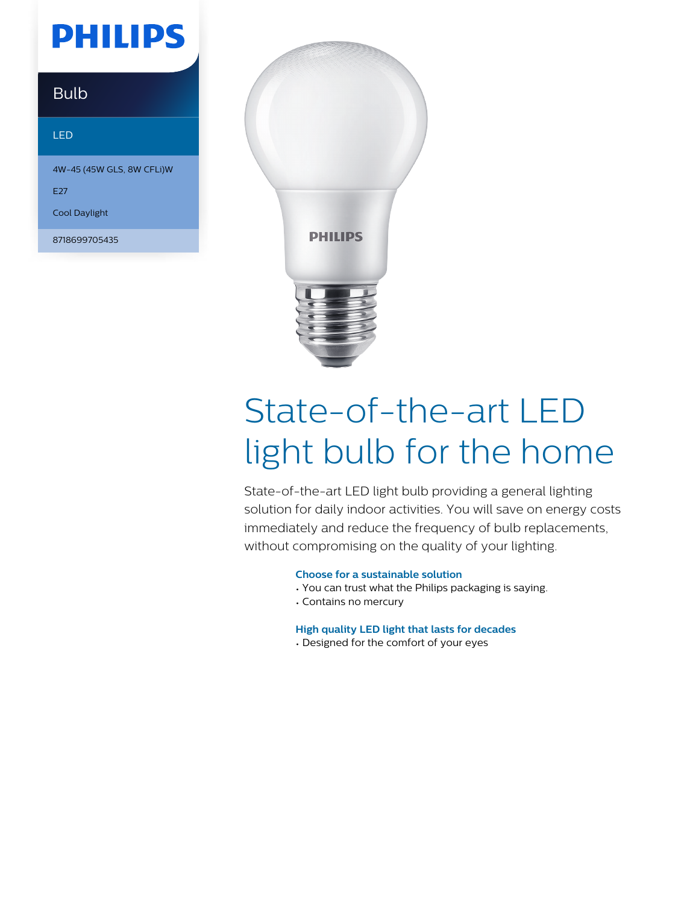# **PHILIPS**

### **Bulb**

#### LED

4W-45 (45W GLS, 8W CFLi)W

E27

Cool Daylight

8718699705435



# State-of-the-art LED light bulb for the home

State-of-the-art LED light bulb providing a general lighting solution for daily indoor activities. You will save on energy costs immediately and reduce the frequency of bulb replacements, without compromising on the quality of your lighting.

#### **Choose for a sustainable solution**

- You can trust what the Philips packaging is saying.
- Contains no mercury

#### **High quality LED light that lasts for decades**

• Designed for the comfort of your eyes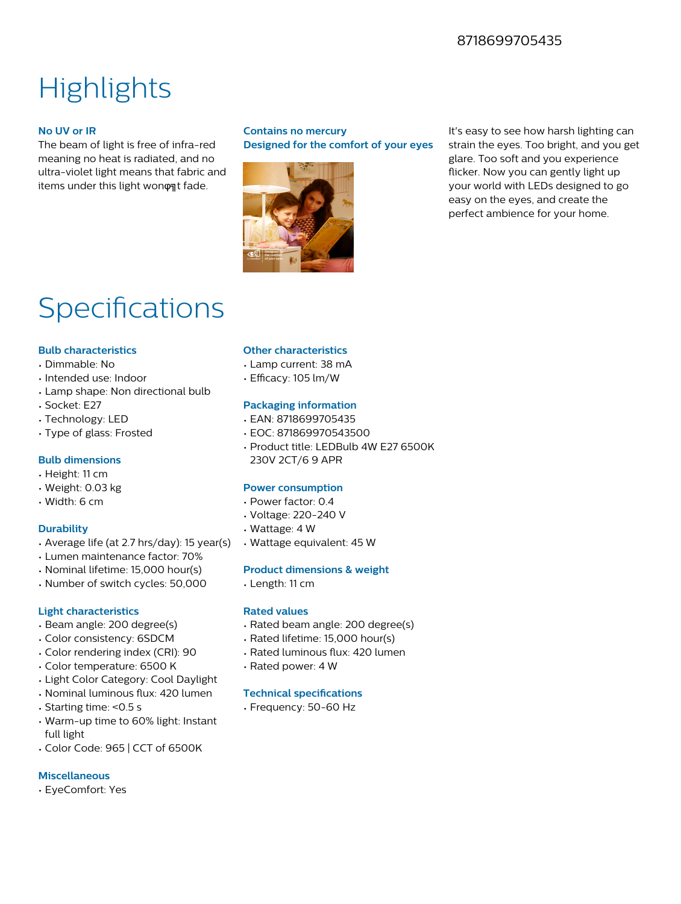### 8718699705435

## **Highlights**

#### **No UV or IR**

The beam of light is free of infra-red meaning no heat is radiated, and no ultra-violet light means that fabric and items under this light won on t fade.

#### **Contains no mercury Designed for the comfort of your eyes**



It's easy to see how harsh lighting can strain the eyes. Too bright, and you get glare. Too soft and you experience flicker. Now you can gently light up your world with LEDs designed to go easy on the eyes, and create the perfect ambience for your home.

### Specifications

#### **Bulb characteristics**

- Dimmable: No
- Intended use: Indoor
- Lamp shape: Non directional bulb
- Socket: E27
- Technology: LED
- Type of glass: Frosted

#### **Bulb dimensions**

- Height: 11 cm
- Weight: 0.03 kg
- Width: 6 cm

#### **Durability**

- Average life (at 2.7 hrs/day): 15 year(s)
- Lumen maintenance factor: 70%
- Nominal lifetime: 15,000 hour(s)
- Number of switch cycles: 50,000

#### **Light characteristics**

- Beam angle: 200 degree(s)
- Color consistency: 6SDCM
- Color rendering index (CRI): 90
- Color temperature: 6500 K
- Light Color Category: Cool Daylight
- Nominal luminous flux: 420 lumen
- Starting time: <0.5 s
- Warm-up time to 60% light: Instant full light
- Color Code: 965 | CCT of 6500K

#### **Miscellaneous**

• EyeComfort: Yes

#### **Other characteristics**

- Lamp current: 38 mA
- Efficacy: 105 lm/W

#### **Packaging information**

- EAN: 8718699705435
- EOC: 871869970543500
- Product title: LEDBulb 4W E27 6500K 230V 2CT/6 9 APR

#### **Power consumption**

- Power factor: 0.4
- Voltage: 220-240 V
- Wattage: 4 W
- Wattage equivalent: 45 W

#### **Product dimensions & weight**

• Length: 11 cm

#### **Rated values**

- Rated beam angle: 200 degree(s)
- Rated lifetime: 15,000 hour(s)
- Rated luminous flux: 420 lumen
- Rated power: 4 W

#### **Technical specifications**

• Frequency: 50-60 Hz